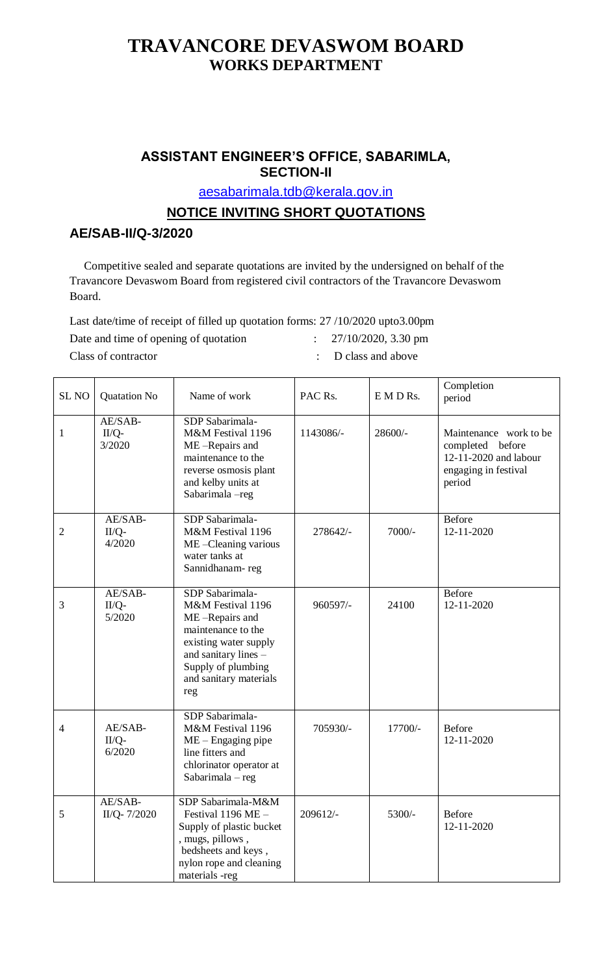## **TRAVANCORE DEVASWOM BOARD WORKS DEPARTMENT**

## **ASSISTANT ENGINEER'S OFFICE, SABARIMLA, SECTION-II**

[aesabarimala.tdb@kerala.gov.in](mailto:aesabarimala.tdb@kerala.gov.in)

## **NOTICE INVITING SHORT QUOTATIONS**

## **AE/SAB-II/Q-3/2020**

Competitive sealed and separate quotations are invited by the undersigned on behalf of the Travancore Devaswom Board from registered civil contractors of the Travancore Devaswom Board.

Last date/time of receipt of filled up quotation forms: 27 /10/2020 upto3.00pm

Date and time of opening of quotation : 27/10/2020, 3.30 pm

Class of contractor  $\qquad \qquad : \quad D$  class and above

| <b>SL NO</b>   | <b>Quatation No</b>          | Name of work                                                                                                                                                                         | PAC Rs.   | $E$ M D Rs. | Completion<br>period                                                                                  |
|----------------|------------------------------|--------------------------------------------------------------------------------------------------------------------------------------------------------------------------------------|-----------|-------------|-------------------------------------------------------------------------------------------------------|
| 1              | AE/SAB-<br>$II/Q-$<br>3/2020 | SDP Sabarimala-<br>M&M Festival 1196<br>ME-Repairs and<br>maintenance to the<br>reverse osmosis plant<br>and kelby units at<br>Sabarimala-reg                                        | 1143086/- | $28600/-$   | Maintenance work to be<br>completed before<br>12-11-2020 and labour<br>engaging in festival<br>period |
| $\overline{2}$ | AE/SAB-<br>$II/Q-$<br>4/2020 | SDP Sabarimala-<br>M&M Festival 1196<br>ME-Cleaning various<br>water tanks at<br>Sannidhanam-reg                                                                                     | 278642/-  | 7000/-      | <b>Before</b><br>12-11-2020                                                                           |
| $\mathfrak{Z}$ | AE/SAB-<br>II/Q-<br>5/2020   | SDP Sabarimala-<br>M&M Festival 1196<br>ME-Repairs and<br>maintenance to the<br>existing water supply<br>and sanitary lines -<br>Supply of plumbing<br>and sanitary materials<br>reg | 960597/-  | 24100       | <b>Before</b><br>12-11-2020                                                                           |
| $\overline{4}$ | AE/SAB-<br>$II/Q-$<br>6/2020 | SDP Sabarimala-<br>M&M Festival 1196<br>$ME - Engaging pipe$<br>line fitters and<br>chlorinator operator at<br>Sabarimala - reg                                                      | 705930/-  | 17700/-     | <b>Before</b><br>12-11-2020                                                                           |
| 5              | AE/SAB-<br>II/Q-7/2020       | SDP Sabarimala-M&M<br>Festival $1196$ ME -<br>Supply of plastic bucket<br>, mugs, pillows,<br>bedsheets and keys,<br>nylon rope and cleaning<br>materials -reg                       | 209612/-  | 5300/-      | <b>Before</b><br>12-11-2020                                                                           |